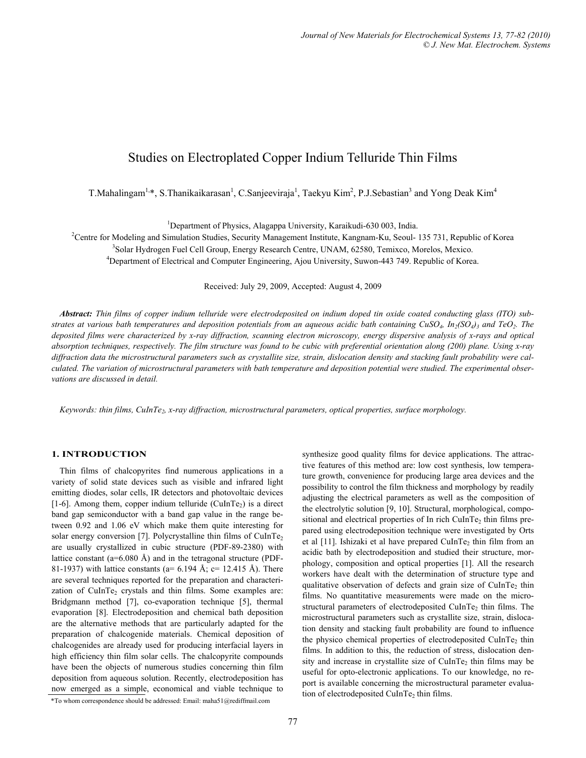# Studies on Electroplated Copper Indium Telluride Thin Films

T.Mahalingam<sup>1,\*</sup>, S.Thanikaikarasan<sup>1</sup>, C.Sanjeeviraja<sup>1</sup>, Taekyu Kim<sup>2</sup>, P.J.Sebastian<sup>3</sup> and Yong Deak Kim<sup>4</sup>

<sup>1</sup> Department of Physics, Alagappa University, Karaikudi-630 003, India.<br><sup>2</sup> Centre for Modeling and Simulation Studies, Sequesty Management Institute, Kangnom Ku, Sequel:

<sup>2</sup>Centre for Modeling and Simulation Studies, Security Management Institute, Kangnam-Ku, Seoul-135 731, Republic of Korea <sup>3</sup>Solar Hydrogen Fuel Cell Group, Energy Research Centre, UNAM, 62580, Temixco, Morelos, Mexico. <sup>4</sup>Department of Electrical and Computer Engineering, Ajou University, Suwon-443 749. Republic of Korea.

Received: July 29, 2009, Accepted: August 4, 2009

*Abstract: Thin films of copper indium telluride were electrodeposited on indium doped tin oxide coated conducting glass (ITO) substrates at various bath temperatures and deposition potentials from an aqueous acidic bath containing CuSO<sub>4</sub>,*  $In_2(SO_4)$ *<sub>3</sub> and*  $TeO_2$ *. The deposited films were characterized by x-ray diffraction, scanning electron microscopy, energy dispersive analysis of x-rays and optical absorption techniques, respectively. The film structure was found to be cubic with preferential orientation along (200) plane. Using x-ray diffraction data the microstructural parameters such as crystallite size, strain, dislocation density and stacking fault probability were calculated. The variation of microstructural parameters with bath temperature and deposition potential were studied. The experimental observations are discussed in detail.* 

Keywords: thin films, CuInTe<sub>2</sub>, x-ray diffraction, microstructural parameters, optical properties, surface morphology.

# **1. INTRODUCTION**

Thin films of chalcopyrites find numerous applications in a variety of solid state devices such as visible and infrared light emitting diodes, solar cells, IR detectors and photovoltaic devices [1-6]. Among them, copper indium telluride (CuInTe<sub>2</sub>) is a direct band gap semiconductor with a band gap value in the range between 0.92 and 1.06 eV which make them quite interesting for solar energy conversion [7]. Polycrystalline thin films of  $CulnTe<sub>2</sub>$ are usually crystallized in cubic structure (PDF-89-2380) with lattice constant ( $a=6.080$  Å) and in the tetragonal structure (PDF-81-1937) with lattice constants (a=  $6.194$  Å; c= 12.415 Å). There are several techniques reported for the preparation and characterization of  $CulnTe<sub>2</sub>$  crystals and thin films. Some examples are: Bridgmann method [7], co-evaporation technique [5], thermal evaporation [8]. Electrodeposition and chemical bath deposition are the alternative methods that are particularly adapted for the preparation of chalcogenide materials. Chemical deposition of chalcogenides are already used for producing interfacial layers in high efficiency thin film solar cells. The chalcopyrite compounds have been the objects of numerous studies concerning thin film deposition from aqueous solution. Recently, electrodeposition has now emerged as a simple, economical and viable technique to \*To whom correspondence should be addressed: Email: maha51@rediffmail.com

synthesize good quality films for device applications. The attractive features of this method are: low cost synthesis, low temperature growth, convenience for producing large area devices and the possibility to control the film thickness and morphology by readily adjusting the electrical parameters as well as the composition of the electrolytic solution [9, 10]. Structural, morphological, compositional and electrical properties of In rich CuInTe<sub>2</sub> thin films prepared using electrodeposition technique were investigated by Orts et al [11]. Ishizaki et al have prepared CuInTe<sub>2</sub> thin film from an acidic bath by electrodeposition and studied their structure, morphology, composition and optical properties [1]. All the research workers have dealt with the determination of structure type and qualitative observation of defects and grain size of CuInTe<sub>2</sub> thin films. No quantitative measurements were made on the microstructural parameters of electrodeposited CuInTe<sub>2</sub> thin films. The microstructural parameters such as crystallite size, strain, dislocation density and stacking fault probability are found to influence the physico chemical properties of electrodeposited CuInTe<sub>2</sub> thin films. In addition to this, the reduction of stress, dislocation density and increase in crystallite size of  $CulnTe<sub>2</sub>$  thin films may be useful for opto-electronic applications. To our knowledge, no report is available concerning the microstructural parameter evaluation of electrodeposited CuInTe<sub>2</sub> thin films.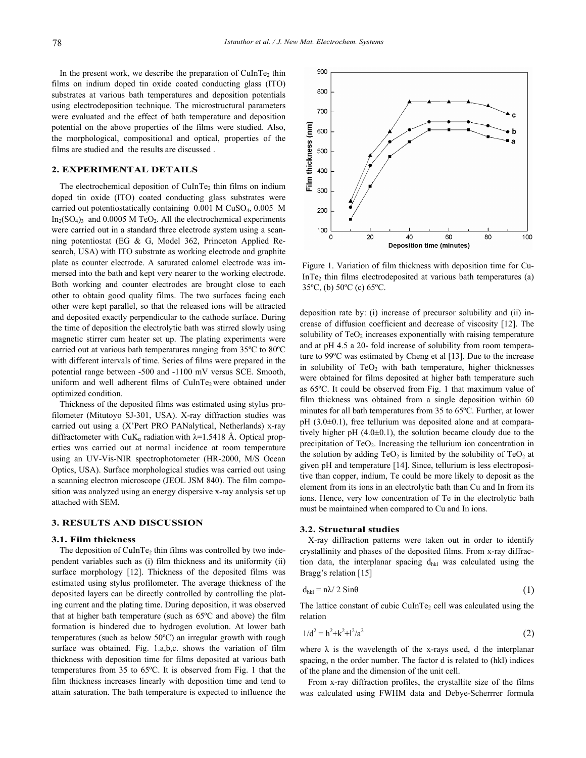In the present work, we describe the preparation of  $C \text{uInTe}_2$  thin films on indium doped tin oxide coated conducting glass (ITO) substrates at various bath temperatures and deposition potentials using electrodeposition technique. The microstructural parameters were evaluated and the effect of bath temperature and deposition potential on the above properties of the films were studied. Also, the morphological, compositional and optical, properties of the films are studied and the results are discussed .

# **2. EXPERIMENTAL DETAILS**

The electrochemical deposition of  $CulnTe<sub>2</sub>$  thin films on indium doped tin oxide (ITO) coated conducting glass substrates were carried out potentiostatically containing 0.001 M CuSO4, 0.005 M  $In<sub>2</sub>(SO<sub>4</sub>)<sub>3</sub>$  and 0.0005 M TeO<sub>2</sub>. All the electrochemical experiments were carried out in a standard three electrode system using a scanning potentiostat (EG & G, Model 362, Princeton Applied Research, USA) with ITO substrate as working electrode and graphite plate as counter electrode. A saturated calomel electrode was immersed into the bath and kept very nearer to the working electrode. Both working and counter electrodes are brought close to each other to obtain good quality films. The two surfaces facing each other were kept parallel, so that the released ions will be attracted and deposited exactly perpendicular to the cathode surface. During the time of deposition the electrolytic bath was stirred slowly using magnetic stirrer cum heater set up. The plating experiments were carried out at various bath temperatures ranging from 35ºC to 80ºC with different intervals of time. Series of films were prepared in the potential range between -500 and -1100 mV versus SCE. Smooth, uniform and well adherent films of CuInTe<sub>2</sub> were obtained under optimized condition.

Thickness of the deposited films was estimated using stylus profilometer (Mitutoyo SJ-301, USA). X-ray diffraction studies was carried out using a (X'Pert PRO PANalytical, Netherlands) x-ray diffractometer with CuK<sub>a</sub> radiation with  $\lambda$ =1.5418 Å. Optical properties was carried out at normal incidence at room temperature using an UV-Vis-NIR spectrophotometer (HR-2000, M/S Ocean Optics, USA). Surface morphological studies was carried out using a scanning electron microscope (JEOL JSM 840). The film composition was analyzed using an energy dispersive x-ray analysis set up attached with SEM.

# **3. RESULTS AND DISCUSSION**

#### **3.1. Film thickness**

The deposition of CuInTe<sub>2</sub> thin films was controlled by two independent variables such as (i) film thickness and its uniformity (ii) surface morphology [12]. Thickness of the deposited films was estimated using stylus profilometer. The average thickness of the deposited layers can be directly controlled by controlling the plating current and the plating time. During deposition, it was observed that at higher bath temperature (such as 65ºC and above) the film formation is hindered due to hydrogen evolution. At lower bath temperatures (such as below 50ºC) an irregular growth with rough surface was obtained. Fig. 1.a,b,c. shows the variation of film thickness with deposition time for films deposited at various bath temperatures from 35 to 65ºC. It is observed from Fig. 1 that the film thickness increases linearly with deposition time and tend to attain saturation. The bath temperature is expected to influence the



Figure 1. Variation of film thickness with deposition time for Cu-InTe<sub>2</sub> thin films electrodeposited at various bath temperatures (a) 35ºC, (b) 50ºC (c) 65ºC.

deposition rate by: (i) increase of precursor solubility and (ii) increase of diffusion coefficient and decrease of viscosity [12]. The solubility of  $TeO<sub>2</sub>$  increases exponentially with raising temperature and at pH 4.5 a 20- fold increase of solubility from room temperature to 99ºC was estimated by Cheng et al [13]. Due to the increase in solubility of  $TeO<sub>2</sub>$  with bath temperature, higher thicknesses were obtained for films deposited at higher bath temperature such as 65ºC. It could be observed from Fig. 1 that maximum value of film thickness was obtained from a single deposition within 60 minutes for all bath temperatures from 35 to 65ºC. Further, at lower pH (3.0±0.1), free tellurium was deposited alone and at comparatively higher pH (4.0±0.1), the solution became cloudy due to the precipitation of  $TeO<sub>2</sub>$ . Increasing the tellurium ion concentration in the solution by adding  $TeO<sub>2</sub>$  is limited by the solubility of  $TeO<sub>2</sub>$  at given pH and temperature [14]. Since, tellurium is less electropositive than copper, indium, Te could be more likely to deposit as the element from its ions in an electrolytic bath than Cu and In from its ions. Hence, very low concentration of Te in the electrolytic bath must be maintained when compared to Cu and In ions.

#### **3.2. Structural studies**

X-ray diffraction patterns were taken out in order to identify crystallinity and phases of the deposited films. From x-ray diffraction data, the interplanar spacing dhkl was calculated using the Bragg's relation [15]

$$
d_{hkl} = n\lambda / 2 \sin\theta \tag{1}
$$

The lattice constant of cubic CuInTe<sub>2</sub> cell was calculated using the relation

$$
1/d^2 = h^2 + k^2 + l^2/a^2 \tag{2}
$$

where  $\lambda$  is the wavelength of the x-rays used, d the interplanar spacing, n the order number. The factor d is related to (hkl) indices of the plane and the dimension of the unit cell.

From x-ray diffraction profiles, the crystallite size of the films was calculated using FWHM data and Debye-Scherrrer formula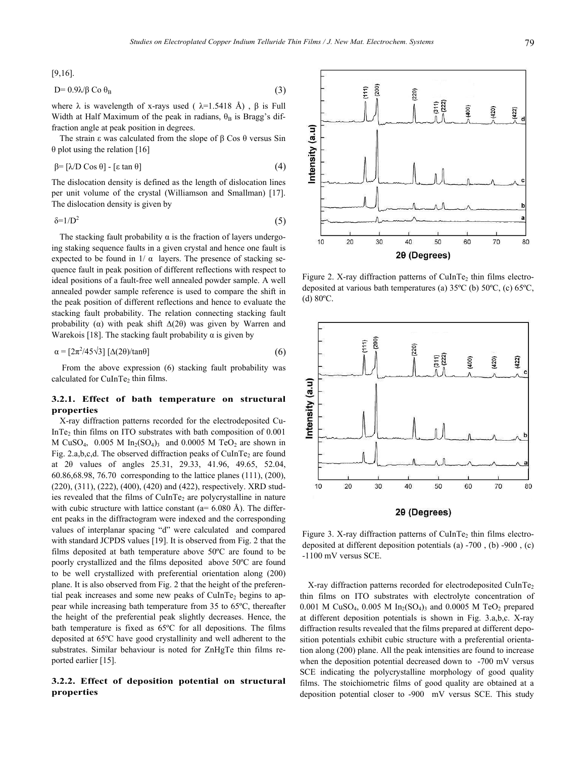(d) 80ºC.

Intensity (a.u)

[9,16].

$$
D=0.9\lambda\beta\ Co\ \theta_B\tag{3}
$$

where  $\lambda$  is wavelength of x-rays used (  $\lambda$ =1.5418 Å),  $\beta$  is Full Width at Half Maximum of the peak in radians,  $\theta_B$  is Bragg's diffraction angle at peak position in degrees.

The strain ε was calculated from the slope of β Cos θ versus Sin θ plot using the relation [16]

$$
\beta = [\lambda / D \cos \theta] - [\epsilon \tan \theta] \tag{4}
$$

The dislocation density is defined as the length of dislocation lines per unit volume of the crystal (Williamson and Smallman) [17]. The dislocation density is given by

$$
\delta = 1/D^2 \tag{5}
$$

The stacking fault probability  $\alpha$  is the fraction of layers undergoing staking sequence faults in a given crystal and hence one fault is expected to be found in  $1/\alpha$  layers. The presence of stacking sequence fault in peak position of different reflections with respect to ideal positions of a fault-free well annealed powder sample. A well annealed powder sample reference is used to compare the shift in the peak position of different reflections and hence to evaluate the stacking fault probability. The relation connecting stacking fault probability ( $\alpha$ ) with peak shift  $\Delta(2\theta)$  was given by Warren and Warekois [18]. The stacking fault probability  $\alpha$  is given by

$$
\alpha = [2\pi^2/45\sqrt{3}] \left[ \Delta(2\theta)/\tan\theta \right] \tag{6}
$$

 From the above expression (6) stacking fault probability was calculated for CuInTe<sub>2</sub> thin films.

# **3.2.1. Effect of bath temperature on structural properties**

X-ray diffraction patterns recorded for the electrodeposited Cu-InTe<sub>2</sub> thin films on ITO substrates with bath composition of  $0.001$ M CuSO<sub>4</sub>, 0.005 M In<sub>2</sub>(SO<sub>4</sub>)<sub>3</sub> and 0.0005 M TeO<sub>2</sub> are shown in Fig. 2.a,b,c,d. The observed diffraction peaks of CuInTe<sub>2</sub> are found at 2θ values of angles 25.31, 29.33, 41.96, 49.65, 52.04, 60.86,68.98, 76.70 corresponding to the lattice planes (111), (200), (220), (311), (222), (400), (420) and (422), respectively. XRD studies revealed that the films of  $CulnTe<sub>2</sub>$  are polycrystalline in nature with cubic structure with lattice constant ( $a= 6.080 \text{ Å}$ ). The different peaks in the diffractogram were indexed and the corresponding values of interplanar spacing "d" were calculated and compared with standard JCPDS values [19]. It is observed from Fig. 2 that the films deposited at bath temperature above 50ºC are found to be poorly crystallized and the films deposited above 50ºC are found to be well crystallized with preferential orientation along (200) plane. It is also observed from Fig. 2 that the height of the preferential peak increases and some new peaks of  $CulnTe<sub>2</sub>$  begins to appear while increasing bath temperature from 35 to 65ºC, thereafter the height of the preferential peak slightly decreases. Hence, the bath temperature is fixed as 65ºC for all depositions. The films deposited at 65ºC have good crystallinity and well adherent to the substrates. Similar behaviour is noted for ZnHgTe thin films reported earlier [15].

# **3.2.2. Effect of deposition potential on structural properties**

 $10$ 20 30 40 50 60 70 80 2θ (Degrees) Figure 2. X-ray diffraction patterns of  $CulnTe<sub>2</sub>$  thin films electrodeposited at various bath temperatures (a) 35ºC (b) 50ºC, (c) 65ºC,

 $(220)$ 

 $(311)$ <br> $- (222)$ 

400)

420)

 $(422)$ 

 $(200)$  $(111)$ 



Figure 3. X-ray diffraction patterns of  $CulnTe<sub>2</sub>$  thin films electrodeposited at different deposition potentials (a) -700 , (b) -900 , (c) -1100 mV versus SCE.

X-ray diffraction patterns recorded for electrodeposited CuInTe2 thin films on ITO substrates with electrolyte concentration of 0.001 M CuSO<sub>4</sub>, 0.005 M In<sub>2</sub>(SO<sub>4</sub>)<sub>3</sub> and 0.0005 M TeO<sub>2</sub> prepared at different deposition potentials is shown in Fig. 3.a,b,c. X-ray diffraction results revealed that the films prepared at different deposition potentials exhibit cubic structure with a preferential orientation along (200) plane. All the peak intensities are found to increase when the deposition potential decreased down to -700 mV versus SCE indicating the polycrystalline morphology of good quality films. The stoichiometric films of good quality are obtained at a deposition potential closer to -900 mV versus SCE. This study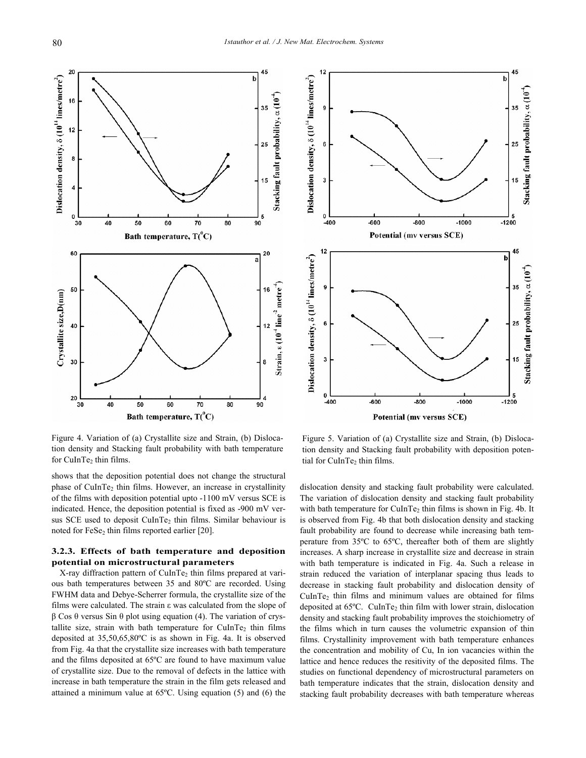

Figure 4. Variation of (a) Crystallite size and Strain, (b) Dislocation density and Stacking fault probability with bath temperature for CuInTe<sub>2</sub> thin films.

shows that the deposition potential does not change the structural phase of CuInTe<sub>2</sub> thin films. However, an increase in crystallinity of the films with deposition potential upto -1100 mV versus SCE is indicated. Hence, the deposition potential is fixed as -900 mV versus SCE used to deposit CuInTe<sub>2</sub> thin films. Similar behaviour is noted for FeSe<sub>2</sub> thin films reported earlier  $[20]$ .

# **3.2.3. Effects of bath temperature and deposition potential on microstructural parameters**

X-ray diffraction pattern of CuInTe<sub>2</sub> thin films prepared at various bath temperatures between 35 and 80ºC are recorded. Using FWHM data and Debye-Scherrer formula, the crystallite size of the films were calculated. The strain ε was calculated from the slope of β Cos θ versus Sin θ plot using equation (4). The variation of crystallite size, strain with bath temperature for CuInTe<sub>2</sub> thin films deposited at 35,50,65,80ºC is as shown in Fig. 4a. It is observed from Fig. 4a that the crystallite size increases with bath temperature and the films deposited at 65ºC are found to have maximum value of crystallite size. Due to the removal of defects in the lattice with increase in bath temperature the strain in the film gets released and attained a minimum value at 65ºC. Using equation (5) and (6) the



Figure 5. Variation of (a) Crystallite size and Strain, (b) Dislocation density and Stacking fault probability with deposition potential for CuInTe<sub>2</sub> thin films.

dislocation density and stacking fault probability were calculated. The variation of dislocation density and stacking fault probability with bath temperature for CuInTe<sub>2</sub> thin films is shown in Fig. 4b. It is observed from Fig. 4b that both dislocation density and stacking fault probability are found to decrease while increasing bath temperature from 35ºC to 65ºC, thereafter both of them are slightly increases. A sharp increase in crystallite size and decrease in strain with bath temperature is indicated in Fig. 4a. Such a release in strain reduced the variation of interplanar spacing thus leads to decrease in stacking fault probability and dislocation density of  $CulnTe<sub>2</sub>$  thin films and minimum values are obtained for films deposited at 65ºC. CuInTe2 thin film with lower strain, dislocation density and stacking fault probability improves the stoichiometry of the films which in turn causes the volumetric expansion of thin films. Crystallinity improvement with bath temperature enhances the concentration and mobility of Cu, In ion vacancies within the lattice and hence reduces the resitivity of the deposited films. The studies on functional dependency of microstructural parameters on bath temperature indicates that the strain, dislocation density and stacking fault probability decreases with bath temperature whereas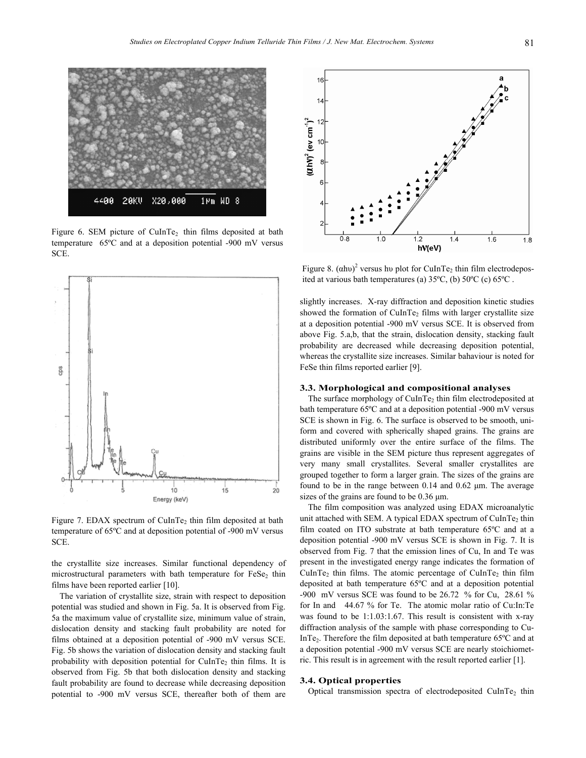

Figure 6. SEM picture of  $CulnTe<sub>2</sub>$  thin films deposited at bath temperature 65ºC and at a deposition potential -900 mV versus SCE.



Figure 7. EDAX spectrum of CuInTe<sub>2</sub> thin film deposited at bath temperature of 65ºC and at deposition potential of -900 mV versus SCE.

the crystallite size increases. Similar functional dependency of microstructural parameters with bath temperature for FeSe<sub>2</sub> thin films have been reported earlier [10].

The variation of crystallite size, strain with respect to deposition potential was studied and shown in Fig. 5a. It is observed from Fig. 5a the maximum value of crystallite size, minimum value of strain, dislocation density and stacking fault probability are noted for films obtained at a deposition potential of -900 mV versus SCE. Fig. 5b shows the variation of dislocation density and stacking fault probability with deposition potential for  $CulnTe<sub>2</sub>$  thin films. It is observed from Fig. 5b that both dislocation density and stacking fault probability are found to decrease while decreasing deposition potential to -900 mV versus SCE, thereafter both of them are



Figure 8.  $(\alpha h\nu)^2$  versus hv plot for CuInTe<sub>2</sub> thin film electrodeposited at various bath temperatures (a) 35ºC, (b) 50ºC (c) 65ºC .

slightly increases. X-ray diffraction and deposition kinetic studies showed the formation of CuInTe<sub>2</sub> films with larger crystallite size at a deposition potential -900 mV versus SCE. It is observed from above Fig. 5.a,b, that the strain, dislocation density, stacking fault probability are decreased while decreasing deposition potential, whereas the crystallite size increases. Similar bahaviour is noted for FeSe thin films reported earlier [9].

## **3.3. Morphological and compositional analyses**

The surface morphology of  $CulnTe<sub>2</sub>$  thin film electrodeposited at bath temperature 65ºC and at a deposition potential -900 mV versus SCE is shown in Fig. 6. The surface is observed to be smooth, uniform and covered with spherically shaped grains. The grains are distributed uniformly over the entire surface of the films. The grains are visible in the SEM picture thus represent aggregates of very many small crystallites. Several smaller crystallites are grouped together to form a larger grain. The sizes of the grains are found to be in the range between 0.14 and 0.62 μm. The average sizes of the grains are found to be 0.36 μm.

The film composition was analyzed using EDAX microanalytic unit attached with SEM. A typical EDAX spectrum of CuInTe<sub>2</sub> thin film coated on ITO substrate at bath temperature 65ºC and at a deposition potential -900 mV versus SCE is shown in Fig. 7. It is observed from Fig. 7 that the emission lines of Cu, In and Te was present in the investigated energy range indicates the formation of CuInTe<sub>2</sub> thin films. The atomic percentage of CuInTe<sub>2</sub> thin film deposited at bath temperature 65ºC and at a deposition potential -900 mV versus SCE was found to be 26.72 % for Cu, 28.61 % for In and 44.67 % for Te. The atomic molar ratio of Cu:In:Te was found to be 1:1.03:1.67. This result is consistent with x-ray diffraction analysis of the sample with phase corresponding to Cu-InTe<sub>2</sub>. Therefore the film deposited at bath temperature  $65^{\circ}$ C and at a deposition potential -900 mV versus SCE are nearly stoichiometric. This result is in agreement with the result reported earlier [1].

#### **3.4. Optical properties**

Optical transmission spectra of electrodeposited  $CulnTe<sub>2</sub>$  thin